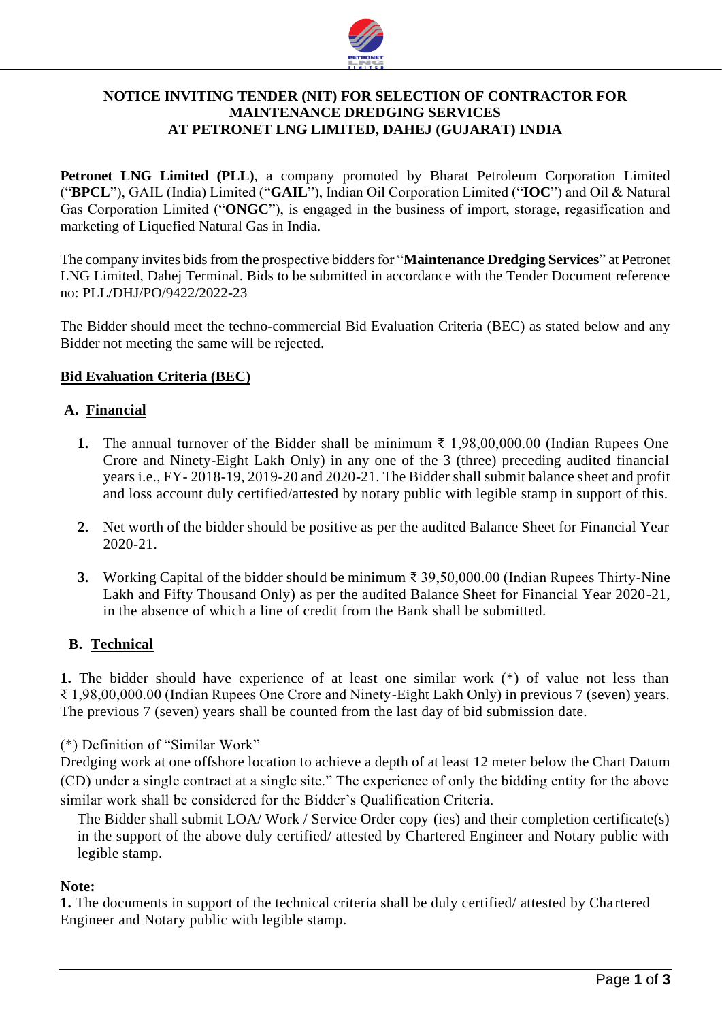

# **NOTICE INVITING TENDER (NIT) FOR SELECTION OF CONTRACTOR FOR MAINTENANCE DREDGING SERVICES AT PETRONET LNG LIMITED, DAHEJ (GUJARAT) INDIA**

**Petronet LNG Limited (PLL)**, a company promoted by Bharat Petroleum Corporation Limited ("**BPCL**"), GAIL (India) Limited ("**GAIL**"), Indian Oil Corporation Limited ("**IOC**") and Oil & Natural Gas Corporation Limited ("**ONGC**"), is engaged in the business of import, storage, regasification and marketing of Liquefied Natural Gas in India.

The company invites bids from the prospective bidders for "**Maintenance Dredging Services**" at Petronet LNG Limited, Dahej Terminal. Bids to be submitted in accordance with the Tender Document reference no: PLL/DHJ/PO/9422/2022-23

The Bidder should meet the techno-commercial Bid Evaluation Criteria (BEC) as stated below and any Bidder not meeting the same will be rejected.

# **Bid Evaluation Criteria (BEC)**

## **A. Financial**

- **1.** The annual turnover of the Bidder shall be minimum ₹ 1,98,00,000.00 (Indian Rupees One Crore and Ninety-Eight Lakh Only) in any one of the 3 (three) preceding audited financial years i.e., FY- 2018-19, 2019-20 and 2020-21. The Bidder shall submit balance sheet and profit and loss account duly certified/attested by notary public with legible stamp in support of this.
- **2.** Net worth of the bidder should be positive as per the audited Balance Sheet for Financial Year 2020-21.
- **3.** Working Capital of the bidder should be minimum ₹ 39,50,000.00 (Indian Rupees Thirty-Nine Lakh and Fifty Thousand Only) as per the audited Balance Sheet for Financial Year 2020-21, in the absence of which a line of credit from the Bank shall be submitted.

#### **B. Technical**

**1.** The bidder should have experience of at least one similar work  $(*)$  of value not less than ₹ 1,98,00,000.00 (Indian Rupees One Crore and Ninety-Eight Lakh Only) in previous 7 (seven) years. The previous 7 (seven) years shall be counted from the last day of bid submission date.

(\*) Definition of "Similar Work"

Dredging work at one offshore location to achieve a depth of at least 12 meter below the Chart Datum (CD) under a single contract at a single site." The experience of only the bidding entity for the above similar work shall be considered for the Bidder's Qualification Criteria.

The Bidder shall submit LOA/ Work / Service Order copy (ies) and their completion certificate(s) in the support of the above duly certified/ attested by Chartered Engineer and Notary public with legible stamp.

#### **Note:**

1. The documents in support of the technical criteria shall be duly certified/attested by Chartered Engineer and Notary public with legible stamp.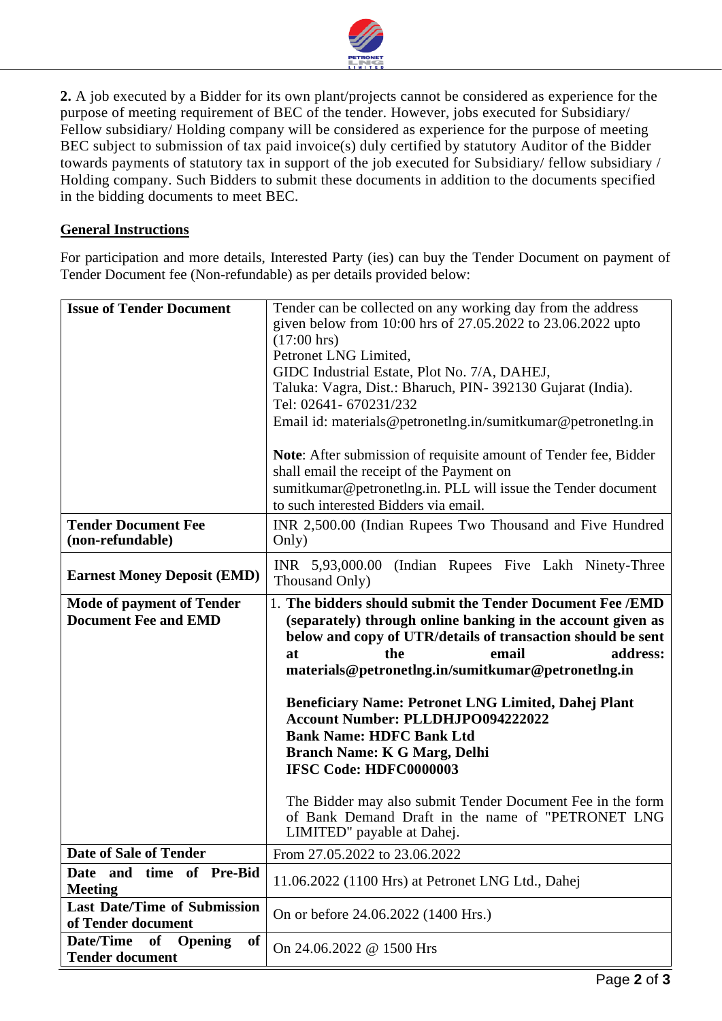

**2.** A job executed by a Bidder for its own plant/projects cannot be considered as experience for the purpose of meeting requirement of BEC of the tender. However, jobs executed for Subsidiary/ Fellow subsidiary/ Holding company will be considered as experience for the purpose of meeting BEC subject to submission of tax paid invoice(s) duly certified by statutory Auditor of the Bidder towards payments of statutory tax in support of the job executed for Subsidiary/ fellow subsidiary / Holding company. Such Bidders to submit these documents in addition to the documents specified in the bidding documents to meet BEC.

# **General Instructions**

For participation and more details, Interested Party (ies) can buy the Tender Document on payment of Tender Document fee (Non-refundable) as per details provided below:

| <b>Issue of Tender Document</b>                                 | Tender can be collected on any working day from the address<br>given below from 10:00 hrs of 27.05.2022 to 23.06.2022 upto<br>$(17:00 \text{ hrs})$<br>Petronet LNG Limited,<br>GIDC Industrial Estate, Plot No. 7/A, DAHEJ,<br>Taluka: Vagra, Dist.: Bharuch, PIN-392130 Gujarat (India).<br>Tel: 02641- 670231/232<br>Email id: materials@petronetlng.in/sumitkumar@petronetlng.in<br>Note: After submission of requisite amount of Tender fee, Bidder<br>shall email the receipt of the Payment on<br>sumitkumar@petronetlng.in. PLL will issue the Tender document<br>to such interested Bidders via email. |
|-----------------------------------------------------------------|-----------------------------------------------------------------------------------------------------------------------------------------------------------------------------------------------------------------------------------------------------------------------------------------------------------------------------------------------------------------------------------------------------------------------------------------------------------------------------------------------------------------------------------------------------------------------------------------------------------------|
| <b>Tender Document Fee</b><br>(non-refundable)                  | INR 2,500.00 (Indian Rupees Two Thousand and Five Hundred<br>Only)                                                                                                                                                                                                                                                                                                                                                                                                                                                                                                                                              |
| <b>Earnest Money Deposit (EMD)</b>                              | (Indian Rupees Five Lakh Ninety-Three)<br>INR 5,93,000.00<br>Thousand Only)                                                                                                                                                                                                                                                                                                                                                                                                                                                                                                                                     |
| <b>Mode of payment of Tender</b><br><b>Document Fee and EMD</b> | 1. The bidders should submit the Tender Document Fee /EMD<br>(separately) through online banking in the account given as<br>below and copy of UTR/details of transaction should be sent<br>the<br>email<br>address:<br>at                                                                                                                                                                                                                                                                                                                                                                                       |
|                                                                 | materials@petronetlng.in/sumitkumar@petronetlng.in<br><b>Beneficiary Name: Petronet LNG Limited, Dahej Plant</b><br><b>Account Number: PLLDHJPO094222022</b><br><b>Bank Name: HDFC Bank Ltd</b><br><b>Branch Name: K G Marg, Delhi</b><br><b>IFSC Code: HDFC0000003</b><br>The Bidder may also submit Tender Document Fee in the form<br>of Bank Demand Draft in the name of "PETRONET LNG<br>LIMITED" payable at Dahej.                                                                                                                                                                                        |
| <b>Date of Sale of Tender</b>                                   | From 27.05.2022 to 23.06.2022                                                                                                                                                                                                                                                                                                                                                                                                                                                                                                                                                                                   |
| time of Pre-Bid<br>Date and<br><b>Meeting</b>                   | 11.06.2022 (1100 Hrs) at Petronet LNG Ltd., Dahej                                                                                                                                                                                                                                                                                                                                                                                                                                                                                                                                                               |
| <b>Last Date/Time of Submission</b><br>of Tender document       | On or before 24.06.2022 (1400 Hrs.)                                                                                                                                                                                                                                                                                                                                                                                                                                                                                                                                                                             |